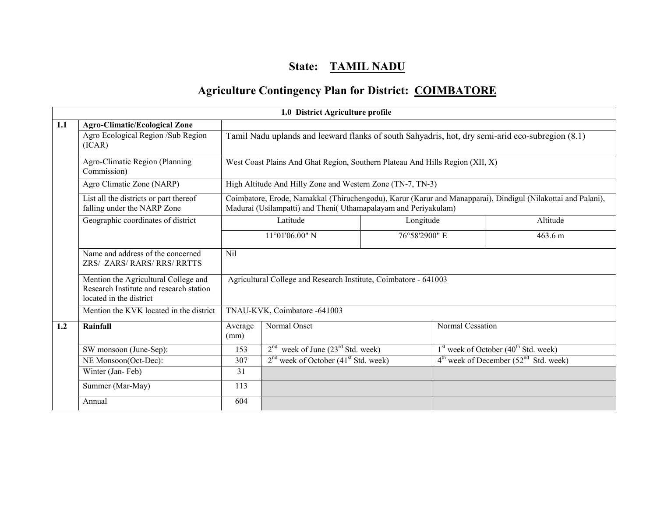# State: TAMIL NADU

## Agriculture Contingency Plan for District: COIMBATORE

|     |                                                                                                            |                 | 1.0 District Agriculture profile                                                                 |           |                  |                                                                                                              |
|-----|------------------------------------------------------------------------------------------------------------|-----------------|--------------------------------------------------------------------------------------------------|-----------|------------------|--------------------------------------------------------------------------------------------------------------|
| 1.1 | <b>Agro-Climatic/Ecological Zone</b>                                                                       |                 |                                                                                                  |           |                  |                                                                                                              |
|     | Agro Ecological Region /Sub Region<br>(ICAR)                                                               |                 | Tamil Nadu uplands and leeward flanks of south Sahyadris, hot, dry semi-arid eco-subregion (8.1) |           |                  |                                                                                                              |
|     | Agro-Climatic Region (Planning<br>Commission)                                                              |                 | West Coast Plains And Ghat Region, Southern Plateau And Hills Region (XII, X)                    |           |                  |                                                                                                              |
|     | Agro Climatic Zone (NARP)                                                                                  |                 | High Altitude And Hilly Zone and Western Zone (TN-7, TN-3)                                       |           |                  |                                                                                                              |
|     | List all the districts or part thereof<br>falling under the NARP Zone                                      |                 | Madurai (Usilampatti) and Theni( Uthamapalayam and Periyakulam)                                  |           |                  | Coimbatore, Erode, Namakkal (Thiruchengodu), Karur (Karur and Manapparai), Dindigul (Nilakottai and Palani), |
|     | Geographic coordinates of district                                                                         |                 | Latitude                                                                                         | Longitude |                  | Altitude                                                                                                     |
|     |                                                                                                            |                 | 11°01'06.00" N<br>76°58'2900" E                                                                  |           |                  | 463.6 m                                                                                                      |
|     | Name and address of the concerned<br>ZRS/ ZARS/ RARS/ RRS/ RRTTS                                           | Nil             |                                                                                                  |           |                  |                                                                                                              |
|     | Mention the Agricultural College and<br>Research Institute and research station<br>located in the district |                 | Agricultural College and Research Institute, Coimbatore - 641003                                 |           |                  |                                                                                                              |
|     | Mention the KVK located in the district                                                                    |                 | TNAU-KVK, Coimbatore -641003                                                                     |           |                  |                                                                                                              |
| 1.2 | Rainfall                                                                                                   | Average<br>(mm) | Normal Onset                                                                                     |           | Normal Cessation |                                                                                                              |
|     | SW monsoon (June-Sep):                                                                                     | 153             | $2nd$ week of June (23 <sup>rd</sup> Std. week)                                                  |           |                  | $1st$ week of October (40 <sup>th</sup> Std. week)                                                           |
|     | NE Monsoon(Oct-Dec):                                                                                       | 307             | $2nd$ week of October (41 <sup>st</sup> Std. week)                                               |           |                  | $4th$ week of December (52 <sup>nd</sup> Std. week)                                                          |
|     | Winter (Jan-Feb)                                                                                           | 31              |                                                                                                  |           |                  |                                                                                                              |
|     | Summer (Mar-May)                                                                                           | 113             |                                                                                                  |           |                  |                                                                                                              |
|     | Annual                                                                                                     | 604             |                                                                                                  |           |                  |                                                                                                              |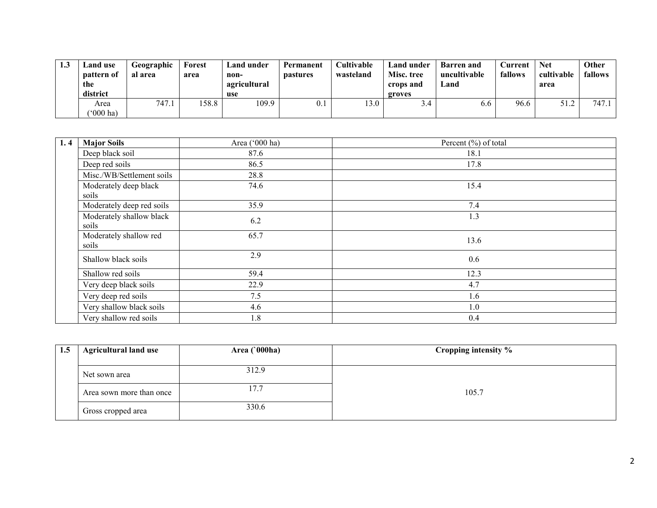| 1.J | Land use<br><b>pattern</b> of<br>the<br>district | Geographic<br>al area | Forest<br>area | Land under<br>non-<br>agricultural<br>use | Permanent<br><b>pastures</b> | Cultivable<br>wasteland | Land under<br>Misc. tree<br>crops and<br>groves | <b>Barren</b> and<br>uncultivable<br>∟and | .\urrent<br>fallows | Net<br>cultivable<br>area | Other<br>fallows |
|-----|--------------------------------------------------|-----------------------|----------------|-------------------------------------------|------------------------------|-------------------------|-------------------------------------------------|-------------------------------------------|---------------------|---------------------------|------------------|
|     | Area<br>$(000 \text{ ha})$                       | 747.1                 | 58.8           | 109.9                                     |                              | 13.0                    | -4.ر                                            | 6.6                                       | 96.6                | 51.2                      | 747.1            |

| 1.4 | <b>Major Soils</b>                | Area ('000 ha) | Percent (%) of total |
|-----|-----------------------------------|----------------|----------------------|
|     | Deep black soil                   | 87.6           | 18.1                 |
|     | Deep red soils                    | 86.5           | 17.8                 |
|     | Misc./WB/Settlement soils         | 28.8           |                      |
|     | Moderately deep black             | 74.6           | 15.4                 |
|     | soils                             |                |                      |
|     | Moderately deep red soils         | 35.9           | 7.4                  |
|     | Moderately shallow black<br>soils | 6.2            | 1.3                  |
|     | Moderately shallow red<br>soils   | 65.7           | 13.6                 |
|     | Shallow black soils               | 2.9            | 0.6                  |
|     | Shallow red soils                 | 59.4           | 12.3                 |
|     | Very deep black soils             | 22.9           | 4.7                  |
|     | Very deep red soils               | 7.5            | 1.6                  |
|     | Very shallow black soils          | 4.6            | 1.0                  |
|     | Very shallow red soils            | 1.8            | 0.4                  |

| 1.5 | <b>Agricultural land use</b><br>Area $(000ha)$ |       | Cropping intensity % |  |
|-----|------------------------------------------------|-------|----------------------|--|
|     |                                                |       |                      |  |
|     | Net sown area                                  | 312.9 |                      |  |
|     | Area sown more than once                       | 17.7  | 105.7                |  |
|     | Gross cropped area                             | 330.6 |                      |  |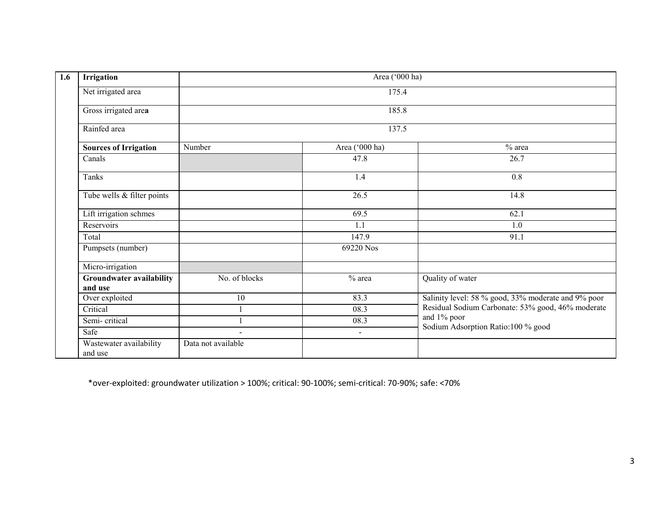| 1.6      | Irrigation                      |                    | Area ('000 ha) |                                                     |  |  |  |  |  |
|----------|---------------------------------|--------------------|----------------|-----------------------------------------------------|--|--|--|--|--|
|          | Net irrigated area              |                    | 175.4          |                                                     |  |  |  |  |  |
|          | Gross irrigated area            |                    | 185.8          |                                                     |  |  |  |  |  |
|          | Rainfed area                    |                    | 137.5          |                                                     |  |  |  |  |  |
|          | <b>Sources of Irrigation</b>    | Number             | Area ('000 ha) | $%$ area                                            |  |  |  |  |  |
| Canals   |                                 |                    | 47.8           | 26.7                                                |  |  |  |  |  |
| Tanks    |                                 |                    | 1.4            | 0.8                                                 |  |  |  |  |  |
|          | Tube wells & filter points      |                    | 26.5           | 14.8                                                |  |  |  |  |  |
|          | Lift irrigation schmes          |                    | 69.5           | 62.1                                                |  |  |  |  |  |
|          | Reservoirs                      |                    | 1.1            | 1.0                                                 |  |  |  |  |  |
| Total    |                                 |                    | 147.9          | 91.1                                                |  |  |  |  |  |
|          | Pumpsets (number)               |                    | 69220 Nos      |                                                     |  |  |  |  |  |
|          | Micro-irrigation                |                    |                |                                                     |  |  |  |  |  |
|          | <b>Groundwater availability</b> | No. of blocks      | $%$ area       | Quality of water                                    |  |  |  |  |  |
| and use  |                                 |                    |                |                                                     |  |  |  |  |  |
|          | Over exploited                  | 10                 | 83.3           | Salinity level: 58 % good, 33% moderate and 9% poor |  |  |  |  |  |
| Critical |                                 |                    | 08.3           | Residual Sodium Carbonate: 53% good, 46% moderate   |  |  |  |  |  |
|          | Semi-critical                   |                    | 08.3           | and 1% poor                                         |  |  |  |  |  |
| Safe     |                                 | $\blacksquare$     | $\blacksquare$ | Sodium Adsorption Ratio:100 % good                  |  |  |  |  |  |
| and use  | Wastewater availability         | Data not available |                |                                                     |  |  |  |  |  |

\*over-exploited: groundwater utilization > 100%; critical: 90-100%; semi-critical: 70-90%; safe: <70%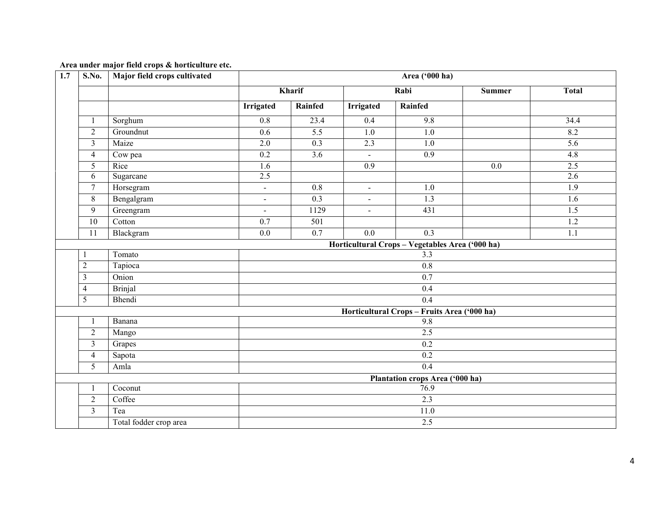| 1.7 | S.No.                           | Major field crops cultivated |                  |                  |                  | Area ('000 ha)                                  |               |                  |  |  |
|-----|---------------------------------|------------------------------|------------------|------------------|------------------|-------------------------------------------------|---------------|------------------|--|--|
|     |                                 |                              |                  | Kharif           |                  | Rabi                                            | <b>Summer</b> | <b>Total</b>     |  |  |
|     |                                 |                              | <b>Irrigated</b> | Rainfed          | <b>Irrigated</b> | Rainfed                                         |               |                  |  |  |
|     | $\mathbf{1}$                    | Sorghum                      | $\overline{0.8}$ | 23.4             | 0.4              | 9.8                                             |               | 34.4             |  |  |
|     | $\overline{2}$                  | Groundnut                    | 0.6              | 5.5              | 1.0              | 1.0                                             |               | 8.2              |  |  |
|     | $\overline{3}$                  | Maize                        | 2.0              | $\overline{0.3}$ | 2.3              | $\overline{1.0}$                                |               | $\overline{5.6}$ |  |  |
|     | $\overline{4}$                  | Cow pea                      | 0.2              | $\overline{3.6}$ | $\blacksquare$   | $\overline{0.9}$                                |               | 4.8              |  |  |
|     | 5                               | Rice                         | 1.6              |                  | 0.9              |                                                 | 0.0           | 2.5              |  |  |
|     | 6                               | Sugarcane                    | 2.5              |                  |                  |                                                 |               | 2.6              |  |  |
|     | $\tau$                          | Horsegram                    | $\blacksquare$   | 0.8              | $\blacksquare$   | 1.0                                             |               | $\overline{1.9}$ |  |  |
|     | 8                               | Bengalgram                   | $\blacksquare$   | 0.3              | $\blacksquare$   | 1.3                                             |               | 1.6              |  |  |
|     | 9                               | Greengram                    | $\blacksquare$   | 1129             | $\blacksquare$   | 431                                             |               | $\overline{1.5}$ |  |  |
|     | $\overline{10}$                 | Cotton                       | 0.7              | 501              |                  |                                                 |               | 1.2              |  |  |
|     | 11                              | Blackgram                    | 0.0              | $\overline{0.7}$ | 0.0              | $\overline{0.3}$                                |               | 1.1              |  |  |
|     |                                 |                              |                  |                  |                  | Horticultural Crops - Vegetables Area ('000 ha) |               |                  |  |  |
|     |                                 | Tomato                       | 3.3              |                  |                  |                                                 |               |                  |  |  |
|     | $\overline{c}$                  | Tapioca                      |                  |                  |                  | $\overline{0.8}$                                |               |                  |  |  |
|     | $\overline{3}$                  | Onion                        |                  |                  |                  | 0.7                                             |               |                  |  |  |
|     | $\overline{4}$                  | <b>Brinjal</b>               |                  |                  |                  | 0.4                                             |               |                  |  |  |
|     | 5                               | Bhendi                       |                  |                  |                  | 0.4                                             |               |                  |  |  |
|     |                                 |                              |                  |                  |                  | Horticultural Crops - Fruits Area ('000 ha)     |               |                  |  |  |
|     | 1                               | Banana                       |                  |                  |                  | 9.8                                             |               |                  |  |  |
|     | $\sqrt{2}$                      | Mango                        |                  |                  |                  | 2.5                                             |               |                  |  |  |
|     | $\mathfrak{Z}$                  | Grapes                       |                  |                  |                  | $\overline{0.2}$                                |               |                  |  |  |
|     | $\overline{4}$                  | Sapota                       |                  |                  |                  | 0.2                                             |               |                  |  |  |
|     | 5                               | Amla                         |                  |                  |                  | $\overline{0.4}$                                |               |                  |  |  |
|     | Plantation crops Area ('000 ha) |                              |                  |                  |                  |                                                 |               |                  |  |  |
|     | 1                               | Coconut                      | 76.9             |                  |                  |                                                 |               |                  |  |  |
|     | $\sqrt{2}$                      | Coffee                       | 2.3              |                  |                  |                                                 |               |                  |  |  |
|     | $\overline{3}$                  | Tea                          |                  |                  |                  | 11.0<br>2.5                                     |               |                  |  |  |
|     |                                 | Total fodder crop area       |                  |                  |                  |                                                 |               |                  |  |  |

#### Area under major field crops & horticulture etc.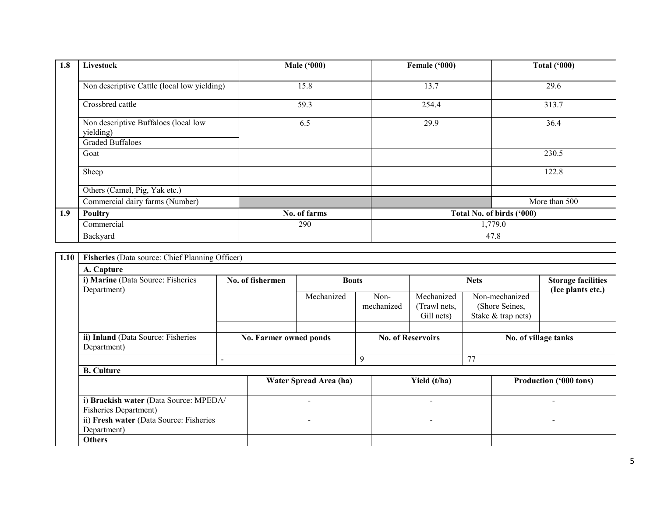| 1.8 | Livestock                                         | <b>Male ('000)</b> | Female ('000)             | <b>Total ('000)</b> |
|-----|---------------------------------------------------|--------------------|---------------------------|---------------------|
|     |                                                   |                    |                           |                     |
|     | Non descriptive Cattle (local low yielding)       | 15.8               | 13.7                      | 29.6                |
|     | Crossbred cattle                                  | 59.3               | 254.4                     | 313.7               |
|     | Non descriptive Buffaloes (local low<br>yielding) | 6.5                | 29.9                      | 36.4                |
|     | <b>Graded Buffaloes</b>                           |                    |                           |                     |
|     | Goat                                              |                    |                           | 230.5               |
|     | Sheep                                             |                    |                           | 122.8               |
|     | Others (Camel, Pig, Yak etc.)                     |                    |                           |                     |
|     | Commercial dairy farms (Number)                   |                    |                           | More than 500       |
| 1.9 | <b>Poultry</b>                                    | No. of farms       | Total No. of birds ('000) |                     |
|     | Commercial                                        | 290                |                           | 1,779.0             |
|     | Backyard                                          |                    |                           | 47.8                |

| 1.10 | Fisheries (Data source: Chief Planning Officer)                                                                                  |                          |                          |                        |                          |                                          |                                                        |                               |
|------|----------------------------------------------------------------------------------------------------------------------------------|--------------------------|--------------------------|------------------------|--------------------------|------------------------------------------|--------------------------------------------------------|-------------------------------|
|      | A. Capture                                                                                                                       |                          |                          |                        |                          |                                          |                                                        |                               |
|      | i) Marine (Data Source: Fisheries                                                                                                |                          | No. of fishermen         | <b>Boats</b>           |                          |                                          | <b>Nets</b>                                            | <b>Storage facilities</b>     |
|      | Department)                                                                                                                      |                          |                          | Mechanized             | Non-<br>mechanized       | Mechanized<br>(Trawl nets,<br>Gill nets) | Non-mechanized<br>(Shore Seines,<br>Stake & trap nets) | (Ice plants etc.)             |
|      |                                                                                                                                  |                          |                          |                        |                          |                                          |                                                        |                               |
|      | ii) Inland (Data Source: Fisheries<br>Department)                                                                                |                          | No. Farmer owned ponds   |                        | <b>No. of Reservoirs</b> |                                          |                                                        | No. of village tanks          |
|      |                                                                                                                                  | $\overline{\phantom{0}}$ |                          |                        | 9                        |                                          | 77                                                     |                               |
|      | <b>B.</b> Culture                                                                                                                |                          |                          |                        |                          |                                          |                                                        |                               |
|      |                                                                                                                                  |                          |                          | Water Spread Area (ha) |                          | Yield (t/ha)                             |                                                        | <b>Production ('000 tons)</b> |
|      | i) Brackish water (Data Source: MPEDA/<br><b>Fisheries Department)</b><br>ii) Fresh water (Data Source: Fisheries<br>Department) |                          |                          |                        |                          |                                          |                                                        |                               |
|      |                                                                                                                                  |                          | $\overline{\phantom{0}}$ |                        |                          | -                                        |                                                        | $\overline{\phantom{a}}$      |
|      | <b>Others</b>                                                                                                                    |                          |                          |                        |                          |                                          |                                                        |                               |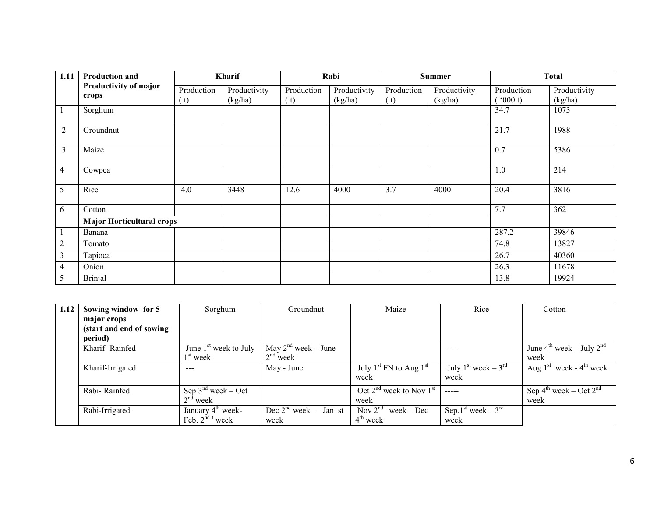| 1.11           | <b>Production and</b>            |                   | Kharif                  |                   | Rabi                    |                   | <b>Summer</b>           |                       | <b>Total</b>            |
|----------------|----------------------------------|-------------------|-------------------------|-------------------|-------------------------|-------------------|-------------------------|-----------------------|-------------------------|
|                | Productivity of major<br>crops   | Production<br>(t) | Productivity<br>(kg/ha) | Production<br>(t) | Productivity<br>(kg/ha) | Production<br>(t) | Productivity<br>(kg/ha) | Production<br>(000 t) | Productivity<br>(kg/ha) |
|                | Sorghum                          |                   |                         |                   |                         |                   |                         | 34.7                  | 1073                    |
| $\overline{2}$ | Groundnut                        |                   |                         |                   |                         |                   |                         | 21.7                  | 1988                    |
| $\overline{3}$ | Maize                            |                   |                         |                   |                         |                   |                         | 0.7                   | 5386                    |
| 4              | Cowpea                           |                   |                         |                   |                         |                   |                         | 1.0                   | 214                     |
| 5              | Rice                             | 4.0               | 3448                    | 12.6              | 4000                    | 3.7               | 4000                    | 20.4                  | 3816                    |
| 6              | Cotton                           |                   |                         |                   |                         |                   |                         | 7.7                   | 362                     |
|                | <b>Major Horticultural crops</b> |                   |                         |                   |                         |                   |                         |                       |                         |
|                | Banana                           |                   |                         |                   |                         |                   |                         | 287.2                 | 39846                   |
| $\overline{2}$ | Tomato                           |                   |                         |                   |                         |                   |                         | 74.8                  | 13827                   |
| 3              | Tapioca                          |                   |                         |                   |                         |                   |                         | 26.7                  | 40360                   |
| 4              | Onion                            |                   |                         |                   |                         |                   |                         | 26.3                  | 11678                   |
| 5              | <b>Brinjal</b>                   |                   |                         |                   |                         |                   |                         | 13.8                  | 19924                   |

| 1.12 | Sowing window for 5       | Sorghum                         | Groundnut                | Maize                                          | Rice                                                                                                                                                                                                                                                                                                                                                                                                                                                                       | Cotton                                         |
|------|---------------------------|---------------------------------|--------------------------|------------------------------------------------|----------------------------------------------------------------------------------------------------------------------------------------------------------------------------------------------------------------------------------------------------------------------------------------------------------------------------------------------------------------------------------------------------------------------------------------------------------------------------|------------------------------------------------|
|      | major crops               |                                 |                          |                                                |                                                                                                                                                                                                                                                                                                                                                                                                                                                                            |                                                |
|      | (start and end of sowing) |                                 |                          |                                                |                                                                                                                                                                                                                                                                                                                                                                                                                                                                            |                                                |
|      | period)                   |                                 |                          |                                                |                                                                                                                                                                                                                                                                                                                                                                                                                                                                            |                                                |
|      | Kharif-Rainfed            | June $1st$ week to July         | May $2^{nd}$ week – June |                                                |                                                                                                                                                                                                                                                                                                                                                                                                                                                                            | June $4^{th}$ week – July $2^{nd}$             |
|      |                           | 1 <sup>st</sup> week            | $2nd$ week               |                                                |                                                                                                                                                                                                                                                                                                                                                                                                                                                                            | week                                           |
|      | Kharif-Irrigated          | ---                             | May - June               | July $1^{st}$ FN to Aug $1^{st}$               | July 1 <sup>st</sup> week – $3^{rd}$                                                                                                                                                                                                                                                                                                                                                                                                                                       | Aug $1st$ week - 4 <sup>th</sup> week          |
|      |                           |                                 |                          | week                                           | week                                                                                                                                                                                                                                                                                                                                                                                                                                                                       |                                                |
|      | Rabi-Rainfed              | Sep $3^{nd}$ week – Oct         |                          | Oct $2nd$ week to Nov $1st$                    | $\frac{1}{2} \left( \frac{1}{2} \right) \left( \frac{1}{2} \right) \left( \frac{1}{2} \right) \left( \frac{1}{2} \right) \left( \frac{1}{2} \right) \left( \frac{1}{2} \right) \left( \frac{1}{2} \right) \left( \frac{1}{2} \right) \left( \frac{1}{2} \right) \left( \frac{1}{2} \right) \left( \frac{1}{2} \right) \left( \frac{1}{2} \right) \left( \frac{1}{2} \right) \left( \frac{1}{2} \right) \left( \frac{1}{2} \right) \left( \frac{1}{2} \right) \left( \frac$ | Sep $4^{\text{th}}$ week – Oct $2^{\text{nd}}$ |
|      |                           | $2nd$ week                      |                          | week                                           |                                                                                                                                                                                                                                                                                                                                                                                                                                                                            | week                                           |
|      | Rabi-Irrigated            | January 4 <sup>th</sup> week-   | Dec $2nd$ week – Jan1st  | $\sqrt{\text{Nov}} 2^{\text{nd} t}$ week – Dec | Sep. $1st$ week – $3rd$                                                                                                                                                                                                                                                                                                                                                                                                                                                    |                                                |
|      |                           | Feb. $2^{nd}$ <sup>t</sup> week | week                     | $4th$ week                                     | week                                                                                                                                                                                                                                                                                                                                                                                                                                                                       |                                                |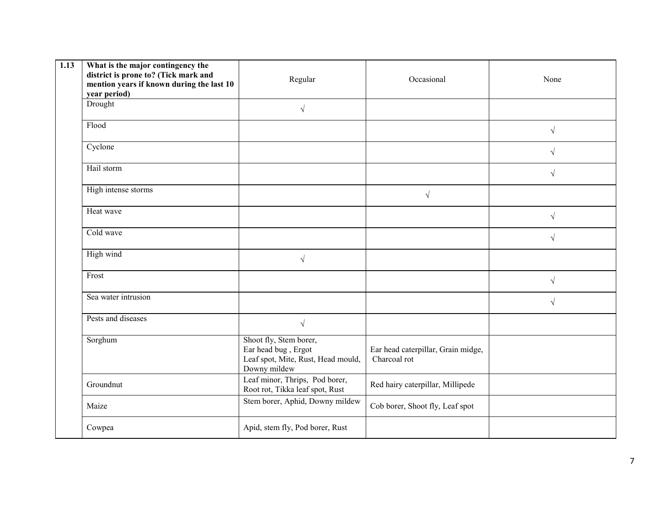| 1.13 | What is the major contingency the<br>district is prone to? (Tick mark and<br>mention years if known during the last 10<br>year period) | Regular                                                                                             | Occasional                                         | None      |
|------|----------------------------------------------------------------------------------------------------------------------------------------|-----------------------------------------------------------------------------------------------------|----------------------------------------------------|-----------|
|      | Drought                                                                                                                                | $\sqrt{ }$                                                                                          |                                                    |           |
|      | Flood                                                                                                                                  |                                                                                                     |                                                    | $\sqrt{}$ |
|      | Cyclone                                                                                                                                |                                                                                                     |                                                    | $\sqrt{}$ |
|      | Hail storm                                                                                                                             |                                                                                                     |                                                    | $\sqrt{}$ |
|      | High intense storms                                                                                                                    |                                                                                                     | $\sqrt{ }$                                         |           |
|      | Heat wave                                                                                                                              |                                                                                                     |                                                    | $\sqrt{}$ |
|      | Cold wave                                                                                                                              |                                                                                                     |                                                    | $\sqrt{}$ |
|      | High wind                                                                                                                              | $\sqrt{}$                                                                                           |                                                    |           |
|      | Frost                                                                                                                                  |                                                                                                     |                                                    | $\sqrt{}$ |
|      | Sea water intrusion                                                                                                                    |                                                                                                     |                                                    | $\sqrt{}$ |
|      | Pests and diseases                                                                                                                     | $\sqrt{ }$                                                                                          |                                                    |           |
|      | Sorghum                                                                                                                                | Shoot fly, Stem borer,<br>Ear head bug, Ergot<br>Leaf spot, Mite, Rust, Head mould,<br>Downy mildew | Ear head caterpillar, Grain midge,<br>Charcoal rot |           |
|      | Groundnut                                                                                                                              | Leaf minor, Thrips, Pod borer,<br>Root rot, Tikka leaf spot, Rust                                   | Red hairy caterpillar, Millipede                   |           |
|      | Maize                                                                                                                                  | Stem borer, Aphid, Downy mildew                                                                     | Cob borer, Shoot fly, Leaf spot                    |           |
|      | Cowpea                                                                                                                                 | Apid, stem fly, Pod borer, Rust                                                                     |                                                    |           |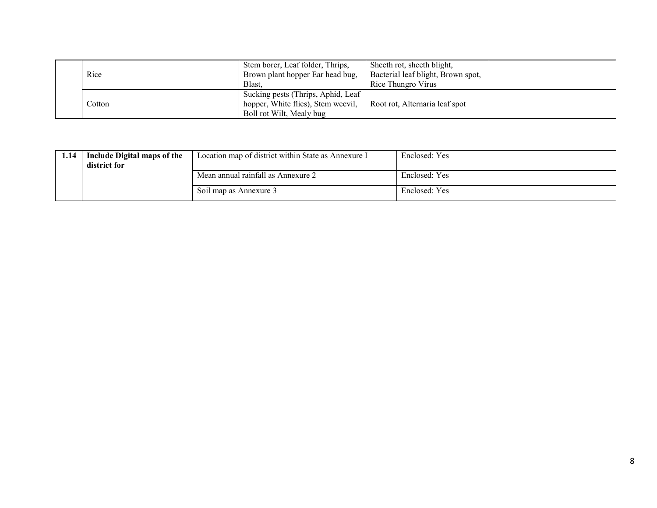| Rice   | Stem borer, Leaf folder, Thrips,<br>Brown plant hopper Ear head bug,<br>Blast.                       | Sheeth rot, sheeth blight,<br>Bacterial leaf blight, Brown spot,<br>Rice Thungro Virus |  |
|--------|------------------------------------------------------------------------------------------------------|----------------------------------------------------------------------------------------|--|
| Cotton | Sucking pests (Thrips, Aphid, Leaf<br>hopper, White flies), Stem weevil,<br>Boll rot Wilt, Mealy bug | Root rot, Alternaria leaf spot                                                         |  |

| 1.14 | Include Digital maps of the<br>district for | Location map of district within State as Annexure I | Enclosed: Yes |
|------|---------------------------------------------|-----------------------------------------------------|---------------|
|      |                                             | Mean annual rainfall as Annexure 2                  | Enclosed: Yes |
|      |                                             | Soil map as Annexure 3                              | Enclosed: Yes |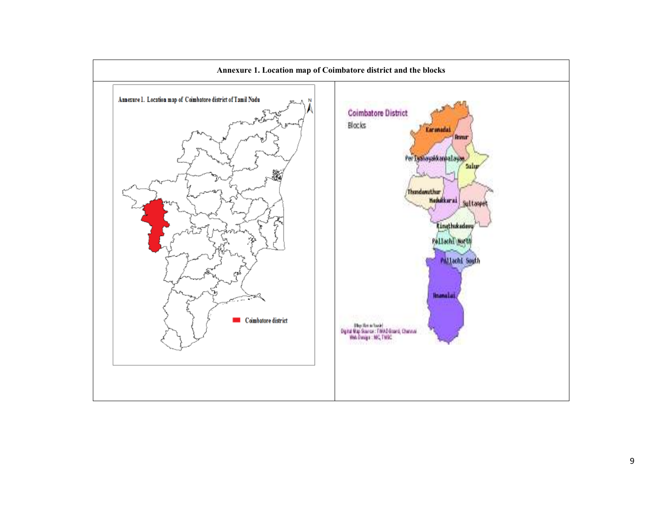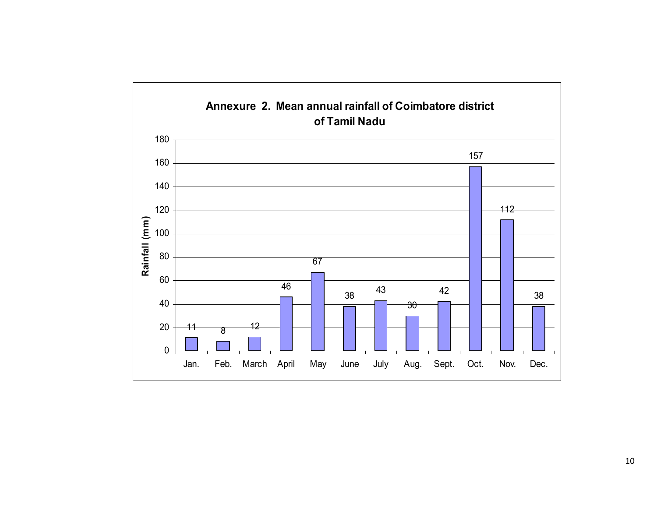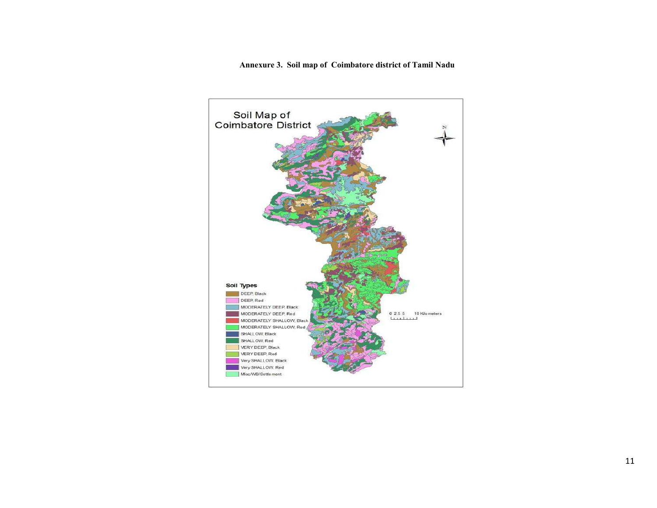Annexure 3. Soil map of Coimbatore district of Tamil Nadu

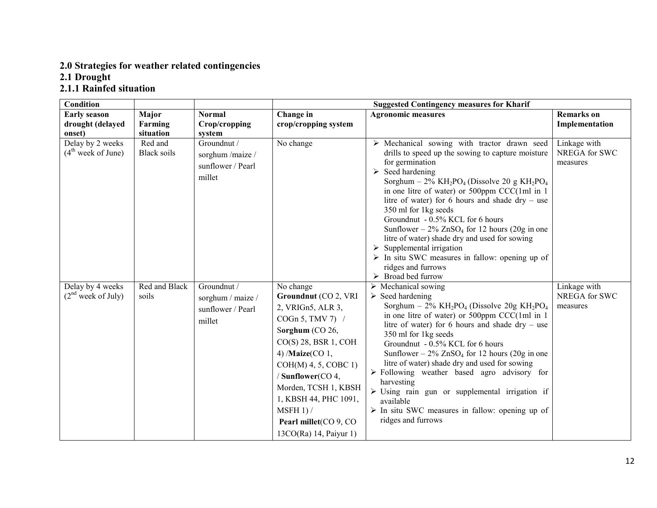# 2.0 Strategies for weather related contingencies 2.1 Drought 2.1.1 Rainfed situation

| Condition                                          |                               |                                                                 |                                                                                                                                                                                                                                                                                                                          | <b>Suggested Contingency measures for Kharif</b>                                                                                                                                                                                                                                                                                                                                                                                                                                                                                                                                                                                                                                                                                  |                                           |
|----------------------------------------------------|-------------------------------|-----------------------------------------------------------------|--------------------------------------------------------------------------------------------------------------------------------------------------------------------------------------------------------------------------------------------------------------------------------------------------------------------------|-----------------------------------------------------------------------------------------------------------------------------------------------------------------------------------------------------------------------------------------------------------------------------------------------------------------------------------------------------------------------------------------------------------------------------------------------------------------------------------------------------------------------------------------------------------------------------------------------------------------------------------------------------------------------------------------------------------------------------------|-------------------------------------------|
| <b>Early season</b>                                | Major                         | <b>Normal</b>                                                   | Change in                                                                                                                                                                                                                                                                                                                | <b>Agronomic measures</b>                                                                                                                                                                                                                                                                                                                                                                                                                                                                                                                                                                                                                                                                                                         | <b>Remarks</b> on                         |
| drought (delayed                                   | Farming                       | Crop/cropping                                                   | crop/cropping system                                                                                                                                                                                                                                                                                                     |                                                                                                                                                                                                                                                                                                                                                                                                                                                                                                                                                                                                                                                                                                                                   | Implementation                            |
| onset)                                             | situation                     | system                                                          |                                                                                                                                                                                                                                                                                                                          |                                                                                                                                                                                                                                                                                                                                                                                                                                                                                                                                                                                                                                                                                                                                   |                                           |
| Delay by 2 weeks<br>(4 <sup>th</sup> week of June) | Red and<br><b>Black soils</b> | Groundnut /<br>sorghum /maize /<br>sunflower / Pearl<br>millet  | No change                                                                                                                                                                                                                                                                                                                | $\triangleright$ Mechanical sowing with tractor drawn seed<br>drills to speed up the sowing to capture moisture<br>for germination<br>$\triangleright$ Seed hardening<br>Sorghum – $2\%$ KH <sub>2</sub> PO <sub>4</sub> (Dissolve 20 g KH <sub>2</sub> PO <sub>4</sub><br>in one litre of water) or $500$ ppm CCC(1ml in 1<br>litre of water) for 6 hours and shade $\text{dry}$ – use<br>350 ml for 1kg seeds<br>Groundnut - 0.5% KCL for 6 hours<br>Sunflower – $2\%$ ZnSO <sub>4</sub> for 12 hours (20g in one<br>litre of water) shade dry and used for sowing<br>Supplemental irrigation<br>➤<br>$\triangleright$ In situ SWC measures in fallow: opening up of<br>ridges and furrows<br>$\triangleright$ Broad bed furrow | Linkage with<br>NREGA for SWC<br>measures |
| Delay by 4 weeks<br>(2 <sup>nd</sup> week of July) | Red and Black<br>soils        | Groundnut /<br>sorghum / maize /<br>sunflower / Pearl<br>millet | No change<br>Groundnut (CO 2, VRI<br>2, VRIGn5, ALR 3,<br>COGn 5, TMV 7) $/$<br>Sorghum (CO 26,<br>$CO(S)$ 28, BSR 1, COH<br>4) / <b>Maize</b> ( $CO$ 1,<br>$COH(M)$ 4, 5, COBC 1)<br>/ Sunflower(CO 4,<br>Morden, TCSH 1, KBSH<br>1, KBSH 44, PHC 1091,<br>MSFH 1) /<br>Pearl millet(CO 9, CO<br>13CO(Ra) 14, Paiyur 1) | $\triangleright$ Mechanical sowing<br>$\triangleright$ Seed hardening<br>Sorghum - $2\%$ KH <sub>2</sub> PO <sub>4</sub> (Dissolve 20g KH <sub>2</sub> PO <sub>4</sub><br>in one litre of water) or 500ppm CCC(1ml in 1<br>litre of water) for 6 hours and shade $\text{dry}$ – use<br>350 ml for 1kg seeds<br>Groundnut - 0.5% KCL for 6 hours<br>Sunflower – $2\%$ ZnSO <sub>4</sub> for 12 hours (20g in one<br>litre of water) shade dry and used for sowing<br>$\triangleright$ Following weather based agro advisory for<br>harvesting<br>$\triangleright$ Using rain gun or supplemental irrigation if<br>available<br>$\triangleright$ In situ SWC measures in fallow: opening up of<br>ridges and furrows                | Linkage with<br>NREGA for SWC<br>measures |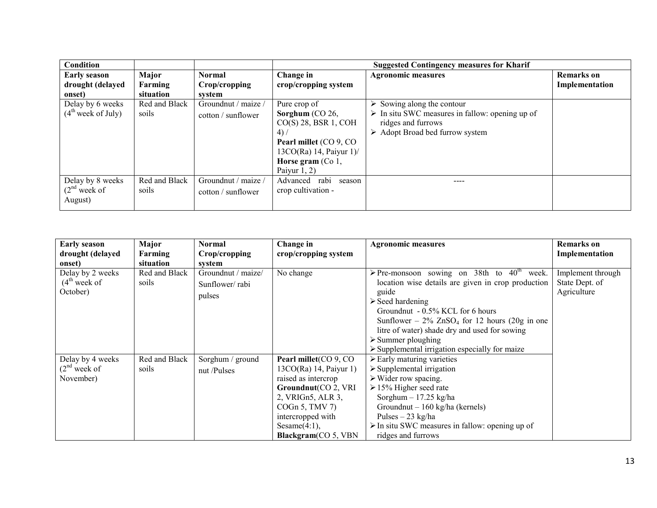| Condition                                          |                               |                                                |                                                                                                                                                                      | <b>Suggested Contingency measures for Kharif</b>                                                                                                                                    |                                     |
|----------------------------------------------------|-------------------------------|------------------------------------------------|----------------------------------------------------------------------------------------------------------------------------------------------------------------------|-------------------------------------------------------------------------------------------------------------------------------------------------------------------------------------|-------------------------------------|
| <b>Early season</b><br>drought (delayed<br>onset)  | Major<br>Farming<br>situation | <b>Normal</b><br>Crop/cropping<br>system       | Change in<br>crop/cropping system                                                                                                                                    | <b>Agronomic measures</b>                                                                                                                                                           | <b>Remarks</b> on<br>Implementation |
| Delay by 6 weeks<br>(4 <sup>th</sup> week of July) | Red and Black<br>soils        | Groundnut / maize /<br>$\cot$ to $\sin$ flower | Pure crop of<br>Sorghum $(CO 26)$<br>$CO(S)$ 28, BSR 1, COH<br>(4)<br>Pearl millet (CO 9, CO)<br>$13CO(Ra)$ 14, Paiyur 1)/<br>Horse gram $(Co 1,$<br>Paiyur $1, 2$ ) | $\triangleright$ Sowing along the contour<br>$\triangleright$ In situ SWC measures in fallow: opening up of<br>ridges and furrows<br>$\triangleright$ Adopt Broad bed furrow system |                                     |
| Delay by 8 weeks<br>$(2nd$ week of<br>August)      | Red and Black<br>soils        | Groundnut / maize /<br>$\cot$ to $\sin$ flower | rabi<br>Advanced<br>season<br>crop cultivation -                                                                                                                     | ----                                                                                                                                                                                |                                     |

| <b>Early season</b><br>drought (delayed<br>onset) | Major<br>Farming<br>situation | Normal<br>Crop/cropping<br>system              | Change in<br>crop/cropping system                                                                                                                                                                      | <b>Agronomic measures</b>                                                                                                                                                                                                                                                                                                                                                                                                | <b>Remarks</b> on<br>Implementation                |
|---------------------------------------------------|-------------------------------|------------------------------------------------|--------------------------------------------------------------------------------------------------------------------------------------------------------------------------------------------------------|--------------------------------------------------------------------------------------------------------------------------------------------------------------------------------------------------------------------------------------------------------------------------------------------------------------------------------------------------------------------------------------------------------------------------|----------------------------------------------------|
| Delay by 2 weeks<br>$(4th$ week of<br>October)    | Red and Black<br>soils        | Groundnut / maize/<br>Sunflower/rabi<br>pulses | $\overline{N}$ o change                                                                                                                                                                                | > Pre-monsoon sowing on 38th to $40^{\text{th}}$<br>week.<br>location wise details are given in crop production<br>guide<br>$\triangleright$ Seed hardening<br>Groundnut $-0.5\%$ KCL for 6 hours<br>Sunflower – $2\%$ ZnSO <sub>4</sub> for 12 hours (20g in one<br>litre of water) shade dry and used for sowing<br>$\triangleright$ Summer ploughing<br>$\triangleright$ Supplemental irrigation especially for maize | Implement through<br>State Dept. of<br>Agriculture |
| Delay by 4 weeks<br>$(2nd$ week of<br>November)   | Red and Black<br>soils        | Sorghum / ground<br>nut /Pulses                | Pearl millet(CO 9, CO<br>13CO(Ra) 14, Paiyur 1)<br>raised as intercrop<br>Groundnut(CO 2, VRI<br>2, VRIGn5, ALR 3,<br>$COGn$ 5, TMV 7)<br>intercropped with<br>Sesame $(4:1)$ ,<br>Blackgram(CO 5, VBN | $\triangleright$ Early maturing varieties<br>$\triangleright$ Supplemental irrigation<br>$\triangleright$ Wider row spacing.<br>$\geq$ 15% Higher seed rate<br>Sorghum $-17.25$ kg/ha<br>Groundnut – $160 \text{ kg/ha}$ (kernels)<br>Pulses $-23$ kg/ha<br>$\triangleright$ In situ SWC measures in fallow: opening up of<br>ridges and furrows                                                                         |                                                    |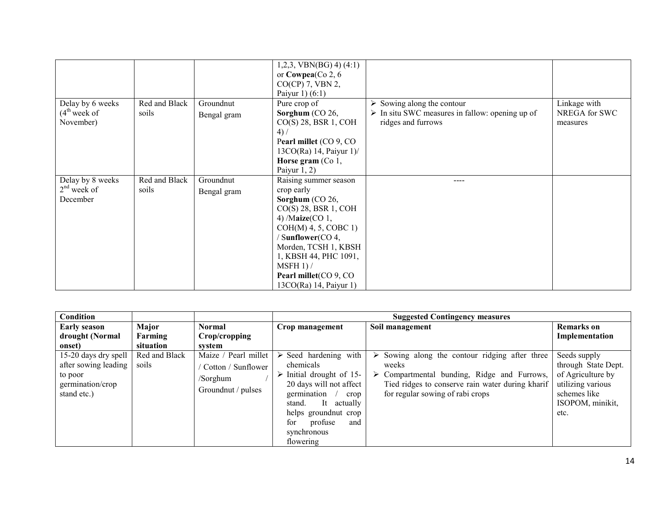|                                                 |                        |                          | $1,2,3$ , VBN(BG) 4) (4:1)<br>or $Cowpea(Co 2, 6)$<br>$CO(CP)$ 7, VBN 2,<br>Paiyur 1) $(6:1)$                                                                                                                                                                                |                                                                                                                  |                                           |
|-------------------------------------------------|------------------------|--------------------------|------------------------------------------------------------------------------------------------------------------------------------------------------------------------------------------------------------------------------------------------------------------------------|------------------------------------------------------------------------------------------------------------------|-------------------------------------------|
| Delay by 6 weeks<br>$(4th$ week of<br>November) | Red and Black<br>soils | Groundnut<br>Bengal gram | Pure crop of<br>Sorghum $(CO 26)$<br>$CO(S)$ 28, BSR 1, COH<br>4) /<br>Pearl millet (CO 9, CO<br>13CO(Ra) 14, Paiyur 1)/<br>Horse gram $(Co 1,$<br>Paiyur $1, 2$ )                                                                                                           | Sowing along the contour<br>$\triangleright$ In situ SWC measures in fallow: opening up of<br>ridges and furrows | Linkage with<br>NREGA for SWC<br>measures |
| Delay by 8 weeks<br>$2nd$ week of<br>December   | Red and Black<br>soils | Groundnut<br>Bengal gram | Raising summer season<br>crop early<br>Sorghum (CO 26,<br>$CO(S)$ 28, BSR 1, COH<br>4) $\text{Maize}(CO 1,$<br>$COH(M)$ 4, 5, COBC 1)<br>/ Sunflower(CO 4,<br>Morden, TCSH 1, KBSH<br>1, KBSH 44, PHC 1091,<br>MSFH 1) /<br>Pearl millet (CO 9, CO<br>13CO(Ra) 14, Paiyur 1) | ----                                                                                                             |                                           |

| Condition                                                                                          |                        |                                                                              |                                                                                                                                                                                                                                                       | <b>Suggested Contingency measures</b>                                                                                                                                                                |                                                                                                                           |
|----------------------------------------------------------------------------------------------------|------------------------|------------------------------------------------------------------------------|-------------------------------------------------------------------------------------------------------------------------------------------------------------------------------------------------------------------------------------------------------|------------------------------------------------------------------------------------------------------------------------------------------------------------------------------------------------------|---------------------------------------------------------------------------------------------------------------------------|
| <b>Early season</b>                                                                                | Major                  | <b>Normal</b>                                                                | Crop management                                                                                                                                                                                                                                       | Soil management                                                                                                                                                                                      | <b>Remarks</b> on                                                                                                         |
| drought (Normal                                                                                    | Farming                | Crop/cropping                                                                |                                                                                                                                                                                                                                                       |                                                                                                                                                                                                      | Implementation                                                                                                            |
| onset)                                                                                             | situation              | system                                                                       |                                                                                                                                                                                                                                                       |                                                                                                                                                                                                      |                                                                                                                           |
| 15-20 days dry spell $\vert$<br>after sowing leading<br>to poor<br>germination/crop<br>stand etc.) | Red and Black<br>soils | Maize / Pearl millet<br>Cotton / Sunflower<br>/Sorghum<br>Groundnut / pulses | $\triangleright$ Seed hardening with<br>chemicals<br>$\triangleright$ Initial drought of 15-<br>20 days will not affect<br>germination<br>crop<br>It actually<br>stand.<br>helps ground nut crop<br>for<br>profuse<br>and<br>synchronous<br>flowering | Sowing along the contour ridging after three<br>➤<br>weeks<br>Compartmental bunding, Ridge and Furrows,<br>➤<br>Tied ridges to conserve rain water during kharif<br>for regular sowing of rabi crops | Seeds supply<br>through State Dept.<br>of Agriculture by<br>utilizing various<br>schemes like<br>ISOPOM, minikit,<br>etc. |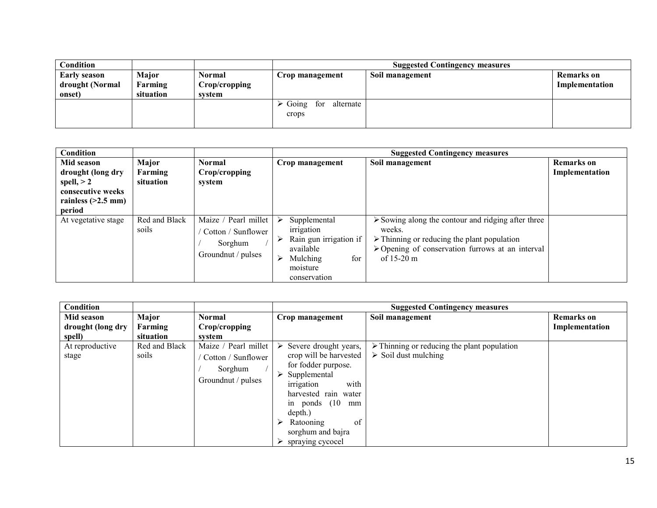| Condition           |           |               |                                            | <b>Suggested Contingency measures</b> |                   |
|---------------------|-----------|---------------|--------------------------------------------|---------------------------------------|-------------------|
| <b>Early season</b> | Major     | Normal        | Crop management                            | Soil management                       | <b>Remarks</b> on |
| drought (Normal     | Farming   | Crop/cropping |                                            |                                       | Implementation    |
| onset)              | situation | system        |                                            |                                       |                   |
|                     |           |               | $\triangleright$ Going<br>alternate<br>for |                                       |                   |
|                     |           |               | crops                                      |                                       |                   |
|                     |           |               |                                            |                                       |                   |

| Condition                                                                                              |                               |                                                                             |                                                                                                                       | <b>Suggested Contingency measures</b>                                                                                                                                                                                                |                                     |
|--------------------------------------------------------------------------------------------------------|-------------------------------|-----------------------------------------------------------------------------|-----------------------------------------------------------------------------------------------------------------------|--------------------------------------------------------------------------------------------------------------------------------------------------------------------------------------------------------------------------------------|-------------------------------------|
| Mid season<br>drought (long dry<br>spell, $> 2$<br>consecutive weeks<br>rainless $(>2.5$ mm)<br>period | Major<br>Farming<br>situation | <b>Normal</b><br>Crop/cropping<br>system                                    | Crop management                                                                                                       | Soil management                                                                                                                                                                                                                      | <b>Remarks</b> on<br>Implementation |
| At vegetative stage                                                                                    | Red and Black<br>soils        | Maize / Pearl millet<br>Cotton / Sunflower<br>Sorghum<br>Groundnut / pulses | Supplemental<br>irrigation<br>Rain gun irrigation if<br>available<br>for<br>Mulching<br>⋗<br>moisture<br>conservation | $\triangleright$ Sowing along the contour and ridging after three<br>weeks.<br>$\triangleright$ Thinning or reducing the plant population<br>$\triangleright$ Opening of conservation furrows at an interval<br>of $15-20 \text{ m}$ |                                     |

| Condition                       |                        |                                                                             |                                                                                                                                                                                                                                                                       | <b>Suggested Contingency measures</b>                                                             |                                     |
|---------------------------------|------------------------|-----------------------------------------------------------------------------|-----------------------------------------------------------------------------------------------------------------------------------------------------------------------------------------------------------------------------------------------------------------------|---------------------------------------------------------------------------------------------------|-------------------------------------|
| Mid season<br>drought (long dry | Major<br>Farming       | <b>Normal</b><br>Crop/cropping                                              | Crop management                                                                                                                                                                                                                                                       | Soil management                                                                                   | <b>Remarks</b> on<br>Implementation |
| spell)                          | situation              | system                                                                      |                                                                                                                                                                                                                                                                       |                                                                                                   |                                     |
| At reproductive<br>stage        | Red and Black<br>soils | Maize / Pearl millet<br>Cotton / Sunflower<br>Sorghum<br>Groundnut / pulses | $\triangleright$ Severe drought years,<br>crop will be harvested<br>for fodder purpose.<br>$\triangleright$ Supplemental<br>irrigation<br>with<br>harvested rain water<br>in ponds $(10$<br>mm<br>depth.)<br>of<br>Ratooning<br>sorghum and bajra<br>spraying cycocel | $\triangleright$ Thinning or reducing the plant population<br>$\triangleright$ Soil dust mulching |                                     |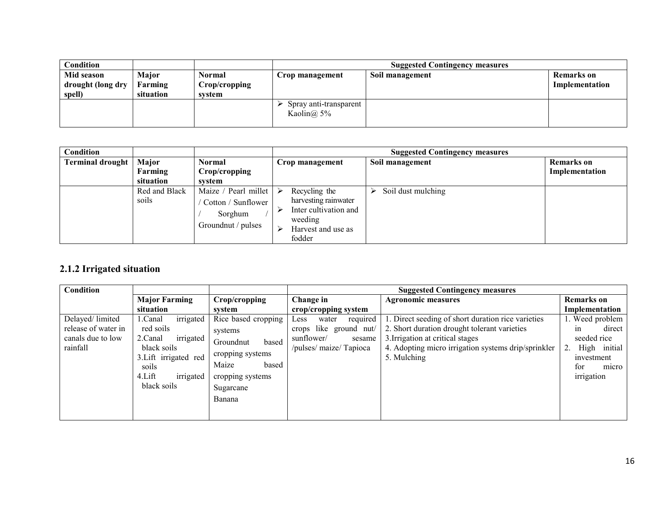| Condition         |           |               |                                           | <b>Suggested Contingency measures</b> |                   |
|-------------------|-----------|---------------|-------------------------------------------|---------------------------------------|-------------------|
| Mid season        | Major     | Normal        | Crop management                           | Soil management                       | <b>Remarks</b> on |
| drought (long dry | Farming   | Crop/cropping |                                           |                                       | Implementation    |
| spell)            | situation | system        |                                           |                                       |                   |
|                   |           |               | Spray anti-transparent<br>Kaolin $(a)$ 5% |                                       |                   |

| Condition               |                        |                                                                             |                                                                                                                     | <b>Suggested Contingency measures</b> |                   |
|-------------------------|------------------------|-----------------------------------------------------------------------------|---------------------------------------------------------------------------------------------------------------------|---------------------------------------|-------------------|
| <b>Terminal drought</b> | Major                  | <b>Normal</b>                                                               | Crop management                                                                                                     | Soil management                       | <b>Remarks</b> on |
|                         | Farming                | Crop/cropping                                                               |                                                                                                                     |                                       | Implementation    |
|                         | situation              | system                                                                      |                                                                                                                     |                                       |                   |
|                         | Red and Black<br>soils | Maize / Pearl millet<br>Cotton / Sunflower<br>Sorghum<br>Groundnut / pulses | Recycling the<br>➤<br>harvesting rainwater<br>Inter cultivation and<br>weeding<br>Harvest and use as<br>➤<br>fodder | Soil dust mulching                    |                   |

#### 2.1.2 Irrigated situation

|                                                                                                                                                   |                                                                                                                |                                                                                                        | <b>Suggested Contingency measures</b>                                                                                                                                                                        |                                                                                                                  |
|---------------------------------------------------------------------------------------------------------------------------------------------------|----------------------------------------------------------------------------------------------------------------|--------------------------------------------------------------------------------------------------------|--------------------------------------------------------------------------------------------------------------------------------------------------------------------------------------------------------------|------------------------------------------------------------------------------------------------------------------|
| <b>Major Farming</b>                                                                                                                              | Crop/cropping                                                                                                  | Change in                                                                                              | <b>Agronomic measures</b>                                                                                                                                                                                    | <b>Remarks</b> on                                                                                                |
| situation                                                                                                                                         | system                                                                                                         | crop/cropping system                                                                                   |                                                                                                                                                                                                              | Implementation                                                                                                   |
| irrigated<br>l .Canal<br>red soils<br>irrigated<br>2.Canal<br>black soils<br>3. Lift irrigated red<br>soils<br>irrigated<br>4.Lift<br>black soils | systems<br>based<br>Groundnut<br>cropping systems<br>Maize<br>based<br>cropping systems<br>Sugarcane<br>Banana | required<br>Less<br>water<br>crops like ground nut/<br>sunflower/<br>sesame<br>/pulses/ maize/ Tapioca | 1. Direct seeding of short duration rice varieties<br>2. Short duration drought tolerant varieties<br>3. Irrigation at critical stages<br>4. Adopting micro irrigation systems drip/sprinkler<br>5. Mulching | 1. Weed problem<br>direct<br>1n<br>seeded rice<br>High initial<br>2.<br>investment<br>for<br>micro<br>irrigation |
|                                                                                                                                                   |                                                                                                                |                                                                                                        | Rice based cropping                                                                                                                                                                                          |                                                                                                                  |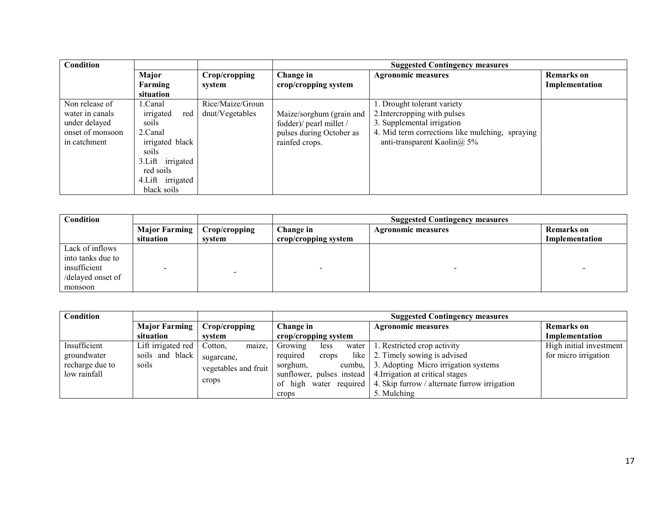| Condition        |                   |                  | <b>Suggested Contingency measures</b> |                                                 |                   |
|------------------|-------------------|------------------|---------------------------------------|-------------------------------------------------|-------------------|
|                  | Major             | Crop/cropping    | Change in                             | <b>Agronomic measures</b>                       | <b>Remarks</b> on |
|                  | Farming           | system           | crop/cropping system                  |                                                 | Implementation    |
|                  | situation         |                  |                                       |                                                 |                   |
| Non release of   | 1.Canal           | Rice/Maize/Groun |                                       | 1. Drought tolerant variety                     |                   |
| water in canals  | irrigated<br>red  | dnut/Vegetables  | Maize/sorghum (grain and              | 2. Intercropping with pulses                    |                   |
| under delayed    | soils             |                  | fodder)/ pearl millet /               | 3. Supplemental irrigation                      |                   |
| onset of monsoon | 2.Canal           |                  | pulses during October as              | 4. Mid term corrections like mulching, spraying |                   |
| in catchment     | irrigated black   |                  | rainfed crops.                        | anti-transparent Kaolin $\omega$ , 5%           |                   |
|                  | soils             |                  |                                       |                                                 |                   |
|                  | 3. Lift irrigated |                  |                                       |                                                 |                   |
|                  | red soils         |                  |                                       |                                                 |                   |
|                  | 4. Lift irrigated |                  |                                       |                                                 |                   |
|                  | black soils       |                  |                                       |                                                 |                   |

| Condition         |                      |               | <b>Suggested Contingency measures</b> |                           |                |
|-------------------|----------------------|---------------|---------------------------------------|---------------------------|----------------|
|                   | <b>Major Farming</b> | Crop/cropping | Change in                             | <b>Agronomic measures</b> | Remarks on     |
|                   | situation            | system        | crop/cropping system                  |                           | Implementation |
| Lack of inflows   |                      |               |                                       |                           |                |
| into tanks due to |                      |               |                                       |                           |                |
| insufficient      |                      |               | $\overline{\phantom{0}}$              |                           |                |
| /delayed onset of |                      |               |                                       |                           |                |
| monsoon           |                      |               |                                       |                           |                |

| Condition       |                      |                      | <b>Suggested Contingency measures</b> |                                                                             |                         |  |
|-----------------|----------------------|----------------------|---------------------------------------|-----------------------------------------------------------------------------|-------------------------|--|
|                 | <b>Major Farming</b> | Crop/cropping        | Change in                             | <b>Agronomic measures</b>                                                   | Remarks on              |  |
|                 | situation            | system               | crop/cropping system                  |                                                                             | Implementation          |  |
| Insufficient    | Lift irrigated red   | Cotton.<br>maize,    | Growing<br>less                       | water $\vert$ 1. Restricted crop activity                                   | High initial investment |  |
| groundwater     | soils and black      | sugarcane.           | required<br>crops                     | like 2. Timely sowing is advised                                            | for micro irrigation    |  |
| recharge due to | soils                | vegetables and fruit | sorghum,                              | cumbu, 3. Adopting Micro irrigation systems                                 |                         |  |
| low rainfall    |                      |                      |                                       | sunflower, pulses instead   4. Irrigation at critical stages                |                         |  |
|                 |                      | crops                |                                       | of high water required $\vert$ 4. Skip furrow / alternate furrow irrigation |                         |  |
|                 |                      |                      | crops                                 | 5. Mulching                                                                 |                         |  |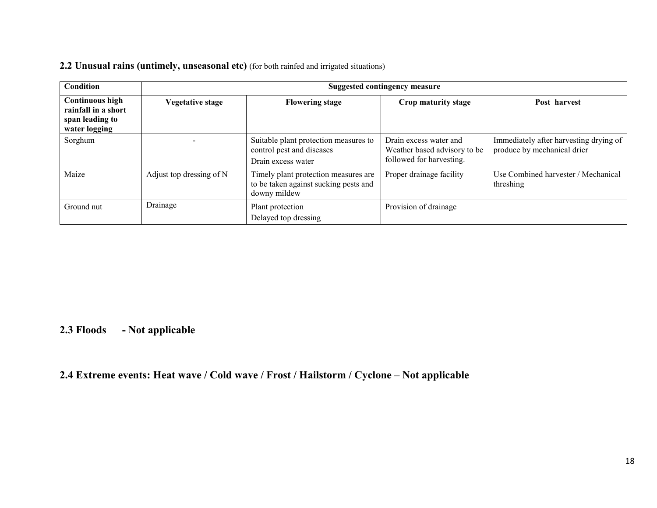#### 2.2 Unusual rains (untimely, unseasonal etc) (for both rainfed and irrigated situations)

| Condition                                                                         | <b>Suggested contingency measure</b> |                                                                                               |                                                                                    |                                                                       |  |
|-----------------------------------------------------------------------------------|--------------------------------------|-----------------------------------------------------------------------------------------------|------------------------------------------------------------------------------------|-----------------------------------------------------------------------|--|
| <b>Continuous high</b><br>rainfall in a short<br>span leading to<br>water logging | <b>Vegetative stage</b>              | <b>Flowering stage</b>                                                                        | Crop maturity stage                                                                | Post harvest                                                          |  |
| Sorghum                                                                           |                                      | Suitable plant protection measures to<br>control pest and diseases<br>Drain excess water      | Drain excess water and<br>Weather based advisory to be<br>followed for harvesting. | Immediately after harvesting drying of<br>produce by mechanical drier |  |
| Maize                                                                             | Adjust top dressing of N             | Timely plant protection measures are<br>to be taken against sucking pests and<br>downy mildew | Proper drainage facility                                                           | Use Combined harvester / Mechanical<br>threshing                      |  |
| Ground nut                                                                        | Drainage                             | Plant protection<br>Delayed top dressing                                                      | Provision of drainage                                                              |                                                                       |  |

#### 2.3 Floods - Not applicable

### 2.4 Extreme events: Heat wave / Cold wave / Frost / Hailstorm / Cyclone – Not applicable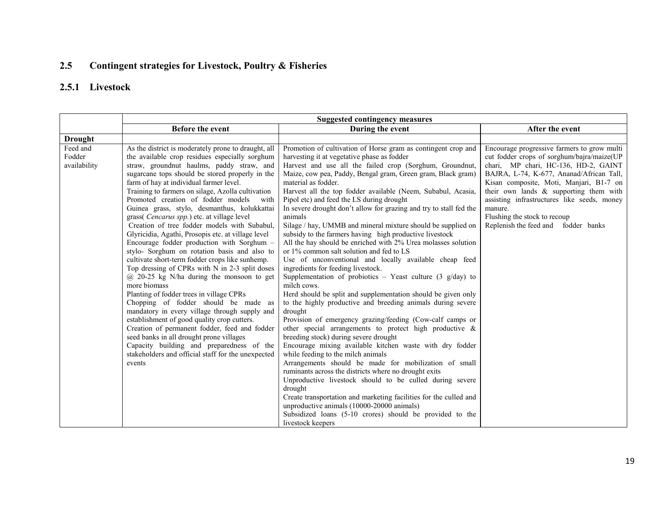#### 2.5Contingent strategies for Livestock, Poultry & Fisheries

### 2.5.1 Livestock

|                                    | <b>Suggested contingency measures</b>                                                                                                                                                                                                                                                                                                                                                                                                                                                                                                                                                                                                                                                                                                                                                                                                                                                                                                                                                                                                                                                                                                                                                                                     |                                                                                                                                                                                                                                                                                                                                                                                                                                                                                                                                                                                                                                                                                                                                                                                                                                                                                                                                                                                                                                                                                                                                                                                                                                                                                                                                                                                                                                                                                                                                                                                                                                                                                                           |                                                                                                                                                                                                                                                                                                                                                                                                     |  |  |
|------------------------------------|---------------------------------------------------------------------------------------------------------------------------------------------------------------------------------------------------------------------------------------------------------------------------------------------------------------------------------------------------------------------------------------------------------------------------------------------------------------------------------------------------------------------------------------------------------------------------------------------------------------------------------------------------------------------------------------------------------------------------------------------------------------------------------------------------------------------------------------------------------------------------------------------------------------------------------------------------------------------------------------------------------------------------------------------------------------------------------------------------------------------------------------------------------------------------------------------------------------------------|-----------------------------------------------------------------------------------------------------------------------------------------------------------------------------------------------------------------------------------------------------------------------------------------------------------------------------------------------------------------------------------------------------------------------------------------------------------------------------------------------------------------------------------------------------------------------------------------------------------------------------------------------------------------------------------------------------------------------------------------------------------------------------------------------------------------------------------------------------------------------------------------------------------------------------------------------------------------------------------------------------------------------------------------------------------------------------------------------------------------------------------------------------------------------------------------------------------------------------------------------------------------------------------------------------------------------------------------------------------------------------------------------------------------------------------------------------------------------------------------------------------------------------------------------------------------------------------------------------------------------------------------------------------------------------------------------------------|-----------------------------------------------------------------------------------------------------------------------------------------------------------------------------------------------------------------------------------------------------------------------------------------------------------------------------------------------------------------------------------------------------|--|--|
|                                    | Before the event                                                                                                                                                                                                                                                                                                                                                                                                                                                                                                                                                                                                                                                                                                                                                                                                                                                                                                                                                                                                                                                                                                                                                                                                          | During the event                                                                                                                                                                                                                                                                                                                                                                                                                                                                                                                                                                                                                                                                                                                                                                                                                                                                                                                                                                                                                                                                                                                                                                                                                                                                                                                                                                                                                                                                                                                                                                                                                                                                                          | After the event                                                                                                                                                                                                                                                                                                                                                                                     |  |  |
| <b>Drought</b>                     |                                                                                                                                                                                                                                                                                                                                                                                                                                                                                                                                                                                                                                                                                                                                                                                                                                                                                                                                                                                                                                                                                                                                                                                                                           |                                                                                                                                                                                                                                                                                                                                                                                                                                                                                                                                                                                                                                                                                                                                                                                                                                                                                                                                                                                                                                                                                                                                                                                                                                                                                                                                                                                                                                                                                                                                                                                                                                                                                                           |                                                                                                                                                                                                                                                                                                                                                                                                     |  |  |
| Feed and<br>Fodder<br>availability | As the district is moderately prone to draught, all<br>the available crop residues especially sorghum<br>straw, groundnut haulms, paddy straw, and<br>sugarcane tops should be stored properly in the<br>farm of hay at individual farmer level.<br>Training to farmers on silage, Azolla cultivation<br>Promoted creation of fodder models<br>with<br>Guinea grass, stylo, desmanthus, kolukkattai<br>grass(Cencarus spp.) etc. at village level<br>Creation of tree fodder models with Subabul,<br>Glyricidia, Agathi, Prosopis etc. at village level<br>Encourage fodder production with Sorghum -<br>stylo- Sorghum on rotation basis and also to<br>cultivate short-term fodder crops like sunhemp.<br>Top dressing of CPRs with N in 2-3 split doses<br>$(a)$ 20-25 kg N/ha during the monsoon to get<br>more biomass<br>Planting of fodder trees in village CPRs<br>Chopping of fodder should be made as<br>mandatory in every village through supply and<br>establishment of good quality crop cutters.<br>Creation of permanent fodder, feed and fodder<br>seed banks in all drought prone villages<br>Capacity building and preparedness of the<br>stakeholders and official staff for the unexpected<br>events | Promotion of cultivation of Horse gram as contingent crop and<br>harvesting it at vegetative phase as fodder<br>Harvest and use all the failed crop (Sorghum, Groundnut,<br>Maize, cow pea, Paddy, Bengal gram, Green gram, Black gram)<br>material as fodder.<br>Harvest all the top fodder available (Neem, Subabul, Acasia,<br>Pipol etc) and feed the LS during drought<br>In severe drought don't allow for grazing and try to stall fed the<br>animals<br>Silage / hay, UMMB and mineral mixture should be supplied on<br>subsidy to the farmers having high productive livestock<br>All the hay should be enriched with 2% Urea molasses solution<br>or 1% common salt solution and fed to LS<br>Use of unconventional and locally available cheap feed<br>ingredients for feeding livestock.<br>Supplementation of probiotics – Yeast culture $(3 \text{ g/day})$ to<br>milch cows.<br>Herd should be split and supplementation should be given only<br>to the highly productive and breeding animals during severe<br>drought<br>Provision of emergency grazing/feeding (Cow-calf camps or<br>other special arrangements to protect high productive $\&$<br>breeding stock) during severe drought<br>Encourage mixing available kitchen waste with dry fodder<br>while feeding to the milch animals<br>Arrangements should be made for mobilization of small<br>ruminants across the districts where no drought exits<br>Unproductive livestock should to be culled during severe<br>drought<br>Create transportation and marketing facilities for the culled and<br>unproductive animals (10000-20000 animals)<br>Subsidized loans (5-10 crores) should be provided to the<br>livestock keepers | Encourage progressive farmers to grow multi<br>cut fodder crops of sorghum/bajra/maize(UP<br>chari, MP chari, HC-136, HD-2, GAINT<br>BAJRA, L-74, K-677, Ananad/African Tall,<br>Kisan composite, Moti, Manjari, B1-7 on<br>their own lands & supporting them with<br>assisting infrastructures like seeds, money<br>manure.<br>Flushing the stock to recoup<br>Replenish the feed and fodder banks |  |  |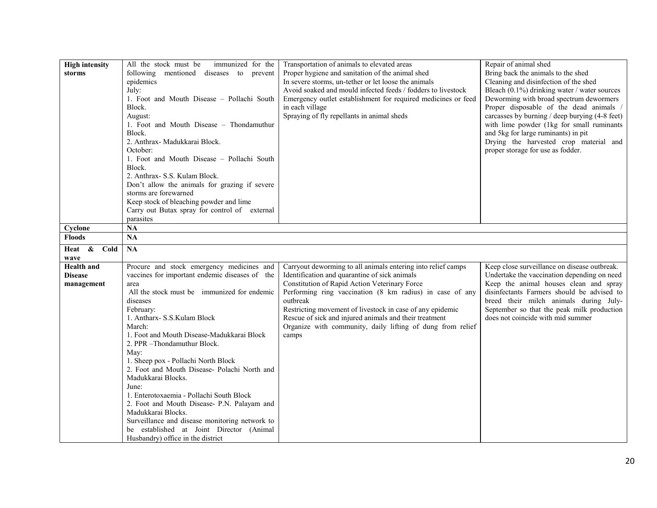| <b>High intensity</b> | All the stock must be<br>immunized for the     | Transportation of animals to elevated areas                   | Repair of animal shed                          |
|-----------------------|------------------------------------------------|---------------------------------------------------------------|------------------------------------------------|
| storms                | following mentioned diseases to prevent        | Proper hygiene and sanitation of the animal shed              | Bring back the animals to the shed             |
|                       | epidemics                                      | In severe storms, un-tether or let loose the animals          | Cleaning and disinfection of the shed          |
|                       | July:                                          | Avoid soaked and mould infected feeds / fodders to livestock  | Bleach (0.1%) drinking water / water sources   |
|                       | 1. Foot and Mouth Disease - Pollachi South     | Emergency outlet establishment for required medicines or feed | Deworming with broad spectrum dewormers        |
|                       | Block.                                         | in each village                                               | Proper disposable of the dead animals /        |
|                       | August:                                        | Spraying of fly repellants in animal sheds                    | carcasses by burning / deep burying (4-8 feet) |
|                       | 1. Foot and Mouth Disease – Thondamuthur       |                                                               | with lime powder (1kg for small ruminants      |
|                       | Block.                                         |                                                               | and 5kg for large ruminants) in pit            |
|                       | 2. Anthrax- Madukkarai Block.                  |                                                               | Drying the harvested crop material and         |
|                       | October:                                       |                                                               | proper storage for use as fodder.              |
|                       | 1. Foot and Mouth Disease - Pollachi South     |                                                               |                                                |
|                       | Block.                                         |                                                               |                                                |
|                       | 2. Anthrax- S.S. Kulam Block.                  |                                                               |                                                |
|                       | Don't allow the animals for grazing if severe  |                                                               |                                                |
|                       | storms are forewarned                          |                                                               |                                                |
|                       | Keep stock of bleaching powder and lime        |                                                               |                                                |
|                       | Carry out Butax spray for control of external  |                                                               |                                                |
|                       | parasites                                      |                                                               |                                                |
| Cyclone               | NA                                             |                                                               |                                                |
| <b>Floods</b>         | NA                                             |                                                               |                                                |
| Heat & Cold           | <b>NA</b>                                      |                                                               |                                                |
| wave                  |                                                |                                                               |                                                |
| <b>Health</b> and     | Procure and stock emergency medicines and      | Carryout deworming to all animals entering into relief camps  | Keep close surveillance on disease outbreak.   |
| <b>Disease</b>        | vaccines for important endemic diseases of the | Identification and quarantine of sick animals                 | Undertake the vaccination depending on need    |
| management            | area                                           | Constitution of Rapid Action Veterinary Force                 | Keep the animal houses clean and spray         |
|                       | All the stock must be immunized for endemic    | Performing ring vaccination (8 km radius) in case of any      | disinfectants Farmers should be advised to     |
|                       | diseases                                       | outbreak                                                      | breed their milch animals during July-         |
|                       | February:                                      | Restricting movement of livestock in case of any epidemic     | September so that the peak milk production     |
|                       | 1. Antharx- S.S.Kulam Block                    | Rescue of sick and injured animals and their treatment        | does not coincide with mid summer              |
|                       | March:                                         | Organize with community, daily lifting of dung from relief    |                                                |
|                       | 1. Foot and Mouth Disease-Madukkarai Block     | camps                                                         |                                                |
|                       | 2. PPR -Thondamuthur Block.                    |                                                               |                                                |
|                       | May:                                           |                                                               |                                                |
|                       | 1. Sheep pox - Pollachi North Block            |                                                               |                                                |
|                       | 2. Foot and Mouth Disease- Polachi North and   |                                                               |                                                |
|                       | Madukkarai Blocks.                             |                                                               |                                                |
|                       | June:                                          |                                                               |                                                |
|                       | 1. Enterotoxaemia - Pollachi South Block       |                                                               |                                                |
|                       | 2. Foot and Mouth Disease- P.N. Palayam and    |                                                               |                                                |
|                       | Madukkarai Blocks.                             |                                                               |                                                |
|                       | Surveillance and disease monitoring network to |                                                               |                                                |
|                       | established at Joint Director (Animal<br>be    |                                                               |                                                |
|                       | Husbandry) office in the district              |                                                               |                                                |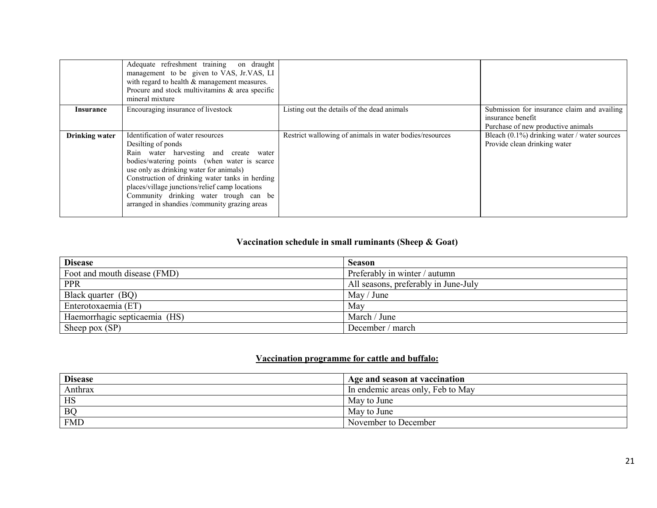|                       | Adequate refreshment training on draught<br>management to be given to VAS, Jr.VAS, LI<br>with regard to health $\&$ management measures.<br>Procure and stock multivitamins & area specific<br>mineral mixture                                                                                                                                                                               |                                                         |                                                                                                        |
|-----------------------|----------------------------------------------------------------------------------------------------------------------------------------------------------------------------------------------------------------------------------------------------------------------------------------------------------------------------------------------------------------------------------------------|---------------------------------------------------------|--------------------------------------------------------------------------------------------------------|
| Insurance             | Encouraging insurance of livestock                                                                                                                                                                                                                                                                                                                                                           | Listing out the details of the dead animals             | Submission for insurance claim and availing<br>insurance benefit<br>Purchase of new productive animals |
| <b>Drinking water</b> | Identification of water resources<br>Desilting of ponds<br>Rain water harvesting and create water<br>bodies/watering points (when water is scarce<br>use only as drinking water for animals)<br>Construction of drinking water tanks in herding<br>places/village junctions/relief camp locations<br>Community drinking water trough can be<br>arranged in shandies /community grazing areas | Restrict wallowing of animals in water bodies/resources | Bleach (0.1%) drinking water / water sources<br>Provide clean drinking water                           |

#### Vaccination schedule in small ruminants (Sheep & Goat)

| <b>Disease</b>                | <b>Season</b>                        |
|-------------------------------|--------------------------------------|
| Foot and mouth disease (FMD)  | Preferably in winter / autumn        |
| <b>PPR</b>                    | All seasons, preferably in June-July |
| Black quarter (BQ)            | May / June                           |
| Enterotoxaemia (ET)           | May                                  |
| Haemorrhagic septicaemia (HS) | March / June                         |
| Sheep pox $(SP)$              | December / march                     |

#### Vaccination programme for cattle and buffalo:

| <b>Disease</b> | Age and season at vaccination     |
|----------------|-----------------------------------|
| Anthrax        | In endemic areas only, Feb to May |
| HS             | May to June                       |
| <b>BQ</b>      | May to June                       |
| <b>FMD</b>     | November to December              |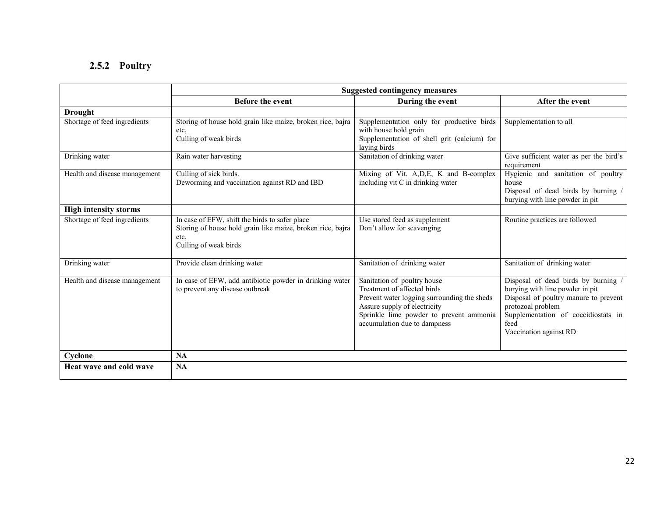## 2.5.2 Poultry

|                               | <b>Suggested contingency measures</b>                                                                                                         |                                                                                                                                                                                                                      |                                                                                                                                                                                                               |  |
|-------------------------------|-----------------------------------------------------------------------------------------------------------------------------------------------|----------------------------------------------------------------------------------------------------------------------------------------------------------------------------------------------------------------------|---------------------------------------------------------------------------------------------------------------------------------------------------------------------------------------------------------------|--|
|                               | <b>Before the event</b>                                                                                                                       | During the event                                                                                                                                                                                                     | After the event                                                                                                                                                                                               |  |
| <b>Drought</b>                |                                                                                                                                               |                                                                                                                                                                                                                      |                                                                                                                                                                                                               |  |
| Shortage of feed ingredients  | Storing of house hold grain like maize, broken rice, bajra<br>etc,<br>Culling of weak birds                                                   | Supplementation only for productive birds<br>with house hold grain<br>Supplementation of shell grit (calcium) for<br>laying birds                                                                                    | Supplementation to all                                                                                                                                                                                        |  |
| Drinking water                | Rain water harvesting                                                                                                                         | Sanitation of drinking water                                                                                                                                                                                         | Give sufficient water as per the bird's<br>requirement                                                                                                                                                        |  |
| Health and disease management | Culling of sick birds.<br>Deworming and vaccination against RD and IBD                                                                        | Mixing of Vit. A, D, E, K and B-complex<br>including vit C in drinking water                                                                                                                                         | Hygienic and sanitation of poultry<br>house<br>Disposal of dead birds by burning /<br>burying with line powder in pit                                                                                         |  |
| <b>High intensity storms</b>  |                                                                                                                                               |                                                                                                                                                                                                                      |                                                                                                                                                                                                               |  |
| Shortage of feed ingredients  | In case of EFW, shift the birds to safer place<br>Storing of house hold grain like maize, broken rice, bajra<br>etc.<br>Culling of weak birds | Use stored feed as supplement<br>Don't allow for scavenging                                                                                                                                                          | Routine practices are followed                                                                                                                                                                                |  |
| Drinking water                | Provide clean drinking water                                                                                                                  | Sanitation of drinking water                                                                                                                                                                                         | Sanitation of drinking water                                                                                                                                                                                  |  |
| Health and disease management | In case of EFW, add antibiotic powder in drinking water<br>to prevent any disease outbreak                                                    | Sanitation of poultry house<br>Treatment of affected birds<br>Prevent water logging surrounding the sheds<br>Assure supply of electricity<br>Sprinkle lime powder to prevent ammonia<br>accumulation due to dampness | Disposal of dead birds by burning /<br>burying with line powder in pit<br>Disposal of poultry manure to prevent<br>protozoal problem<br>Supplementation of coccidiostats in<br>feed<br>Vaccination against RD |  |
| Cyclone                       | NA                                                                                                                                            |                                                                                                                                                                                                                      |                                                                                                                                                                                                               |  |
| Heat wave and cold wave       | NA                                                                                                                                            |                                                                                                                                                                                                                      |                                                                                                                                                                                                               |  |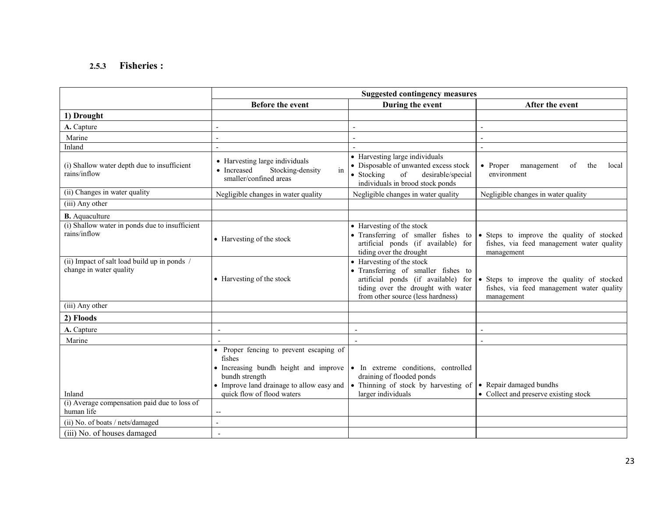#### 2.5.3 Fisheries :

|                                                                         | <b>Suggested contingency measures</b>                                                                                                                                                         |                                                                                                                                                      |                                                                                                                                                  |  |
|-------------------------------------------------------------------------|-----------------------------------------------------------------------------------------------------------------------------------------------------------------------------------------------|------------------------------------------------------------------------------------------------------------------------------------------------------|--------------------------------------------------------------------------------------------------------------------------------------------------|--|
|                                                                         | Before the event                                                                                                                                                                              | During the event                                                                                                                                     | After the event                                                                                                                                  |  |
| 1) Drought                                                              |                                                                                                                                                                                               |                                                                                                                                                      |                                                                                                                                                  |  |
| A. Capture                                                              |                                                                                                                                                                                               |                                                                                                                                                      |                                                                                                                                                  |  |
| Marine                                                                  |                                                                                                                                                                                               |                                                                                                                                                      |                                                                                                                                                  |  |
| Inland                                                                  |                                                                                                                                                                                               |                                                                                                                                                      |                                                                                                                                                  |  |
| (i) Shallow water depth due to insufficient<br>rains/inflow             | • Harvesting large individuals<br>• Increased<br>Stocking-density<br>in<br>smaller/confined areas                                                                                             | • Harvesting large individuals<br>• Disposable of unwanted excess stock<br>• Stocking<br>of<br>desirable/special<br>individuals in brood stock ponds | • Proper<br>management<br>οf<br>the<br>local<br>environment                                                                                      |  |
| (ii) Changes in water quality                                           | Negligible changes in water quality                                                                                                                                                           | Negligible changes in water quality                                                                                                                  | Negligible changes in water quality                                                                                                              |  |
| (iii) Any other                                                         |                                                                                                                                                                                               |                                                                                                                                                      |                                                                                                                                                  |  |
| <b>B.</b> Aquaculture                                                   |                                                                                                                                                                                               |                                                                                                                                                      |                                                                                                                                                  |  |
| (i) Shallow water in ponds due to insufficient<br>rains/inflow          | • Harvesting of the stock                                                                                                                                                                     | • Harvesting of the stock<br>• Transferring of smaller fishes to<br>artificial ponds (if available) for<br>tiding over the drought                   | • Steps to improve the quality of stocked<br>fishes, via feed management water quality<br>management                                             |  |
| (ii) Impact of salt load build up in ponds /<br>change in water quality | • Harvesting of the stock                                                                                                                                                                     | • Harvesting of the stock<br>• Transferring of smaller fishes to<br>tiding over the drought with water<br>from other source (less hardness)          | artificial ponds (if available) for $\bullet$ Steps to improve the quality of stocked<br>fishes, via feed management water quality<br>management |  |
| (iii) Any other                                                         |                                                                                                                                                                                               |                                                                                                                                                      |                                                                                                                                                  |  |
| 2) Floods                                                               |                                                                                                                                                                                               |                                                                                                                                                      |                                                                                                                                                  |  |
| A. Capture                                                              |                                                                                                                                                                                               |                                                                                                                                                      |                                                                                                                                                  |  |
| Marine                                                                  |                                                                                                                                                                                               |                                                                                                                                                      |                                                                                                                                                  |  |
| Inland<br>(i) Average compensation paid due to loss of<br>human life    | • Proper fencing to prevent escaping of<br>fishes<br>• Increasing bundh height and improve<br>bundh strength<br>• Improve land drainage to allow easy and<br>quick flow of flood waters<br>-- | In extreme conditions, controlled<br>draining of flooded ponds<br>• Thinning of stock by harvesting of<br>larger individuals                         | • Repair damaged bundhs<br>• Collect and preserve existing stock                                                                                 |  |
| (ii) No. of boats / nets/damaged                                        |                                                                                                                                                                                               |                                                                                                                                                      |                                                                                                                                                  |  |
| (iii) No. of houses damaged                                             | $\overline{\phantom{a}}$                                                                                                                                                                      |                                                                                                                                                      |                                                                                                                                                  |  |